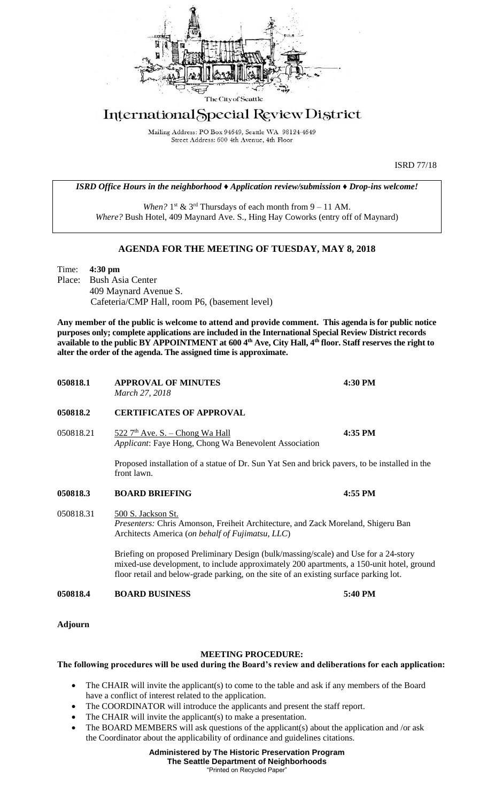

## International Special Review District

Mailing Address: PO Box 94649, Seattle WA 98124-4649 Street Address: 600 4th Avenue, 4th Floor

ISRD 77/18

*ISRD Office Hours in the neighborhood ♦ Application review/submission ♦ Drop-ins welcome!*

When?  $1<sup>st</sup>$  &  $3<sup>rd</sup>$  Thursdays of each month from  $9 - 11$  AM. *Where?* Bush Hotel, 409 Maynard Ave. S., Hing Hay Coworks (entry off of Maynard)

## **AGENDA FOR THE MEETING OF TUESDAY, MAY 8, 2018**

Time: **4:30 pm** Place: Bush Asia Center 409 Maynard Avenue S. Cafeteria/CMP Hall, room P6, (basement level)

**Any member of the public is welcome to attend and provide comment. This agenda is for public notice purposes only; complete applications are included in the International Special Review District records available to the public BY APPOINTMENT at 600 4th Ave, City Hall, 4th floor. Staff reserves the right to alter the order of the agenda. The assigned time is approximate.** 

| 050818.1       | <b>APPROVAL OF MINUTES</b><br>March 27, 2018                                                                                                                                                                                                                             | 4:30 PM |
|----------------|--------------------------------------------------------------------------------------------------------------------------------------------------------------------------------------------------------------------------------------------------------------------------|---------|
| 050818.2       | <b>CERTIFICATES OF APPROVAL</b>                                                                                                                                                                                                                                          |         |
| 050818.21      | $522.7th$ Ave. S. – Chong Wa Hall<br>Applicant: Faye Hong, Chong Wa Benevolent Association                                                                                                                                                                               | 4:35 PM |
|                | Proposed installation of a statue of Dr. Sun Yat Sen and brick pavers, to be installed in the<br>front lawn.                                                                                                                                                             |         |
| 050818.3       | <b>BOARD BRIEFING</b>                                                                                                                                                                                                                                                    | 4:55 PM |
| 050818.31      | 500 S. Jackson St.<br>Presenters: Chris Amonson, Freiheit Architecture, and Zack Moreland, Shigeru Ban<br>Architects America (on behalf of Fujimatsu, LLC)                                                                                                               |         |
|                | Briefing on proposed Preliminary Design (bulk/massing/scale) and Use for a 24-story<br>mixed-use development, to include approximately 200 apartments, a 150-unit hotel, ground<br>floor retail and below-grade parking, on the site of an existing surface parking lot. |         |
| 050818.4       | <b>BOARD BUSINESS</b>                                                                                                                                                                                                                                                    | 5:40 PM |
| <b>Adjourn</b> |                                                                                                                                                                                                                                                                          |         |
|                | <b>MEETING PROCEDURE:</b><br>The following procedures will be used during the Board's review and deliberations for each application:                                                                                                                                     |         |

- The CHAIR will invite the applicant(s) to come to the table and ask if any members of the Board have a conflict of interest related to the application.
- The COORDINATOR will introduce the applicants and present the staff report.
- The CHAIR will invite the applicant(s) to make a presentation.
- The BOARD MEMBERS will ask questions of the applicant(s) about the application and /or ask the Coordinator about the applicability of ordinance and guidelines citations.

**Administered by The Historic Preservation Program The Seattle Department of Neighborhoods** "Printed on Recycled Paper"